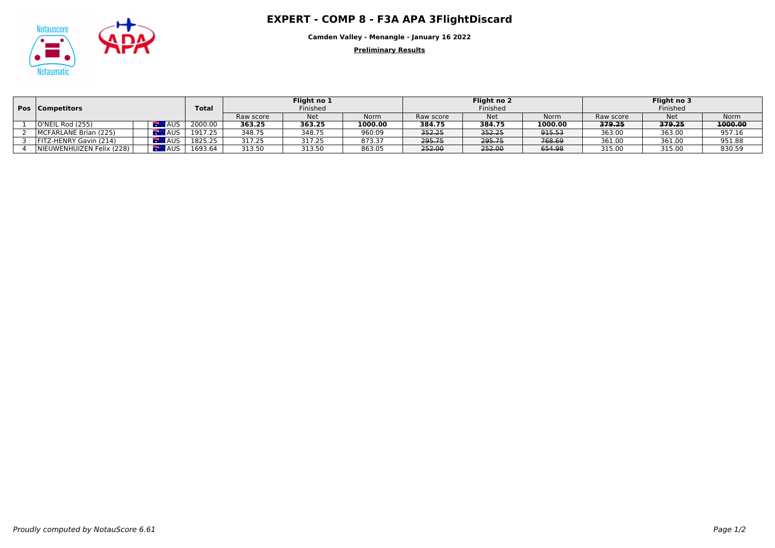## Notauscore **COMP 8 - F3A APA 3FlightDiscard**



**Camden Valley - Menangle - January 16 2022**

**Preliminary Results**

|  | <b>Pos</b>   Competitors  |  |            | <b>Total</b> | Flight no 1<br>Finished |            |             | Flight no 2<br>Finished |            |         | Flight no 3<br>Finished |            |             |
|--|---------------------------|--|------------|--------------|-------------------------|------------|-------------|-------------------------|------------|---------|-------------------------|------------|-------------|
|  |                           |  |            |              | Raw score               | <b>Net</b> | <b>Norm</b> | Raw score               | <b>Net</b> | Norm    | Raw score               | <b>Net</b> | <b>Norm</b> |
|  | O'NEIL Rod (255)          |  | <b>AUS</b> | 2000.00      | 363.25                  | 363.25     | 1000.00     | 384.75                  | 384.75     | 1000.00 | 379.25                  | 379.25     | 1000.00     |
|  | MCFARLANE Brian (225)     |  | AUS.       | 1917.25      | 348.75                  | 348.75     | 960.09      | 352.25                  | 352.25     | 915.53  | 363.00                  | 363.00     | 957.16      |
|  | FITZ-HENRY Gavin (214)    |  | <b>AUS</b> | 1825.25      | 317.25                  | 317.25     | 873.37      | 295.75                  | 295.75     | 768.69  | 361.00                  | 361.00     | 951.88      |
|  | NIEUWENHUIZEN Felix (228) |  | <b>AUS</b> | 1693.64      | 313.50                  | 313.50     | 863.05      | 252.00                  | 252.00     | 654.98  | 315.00                  | 315.00     | 830.59      |